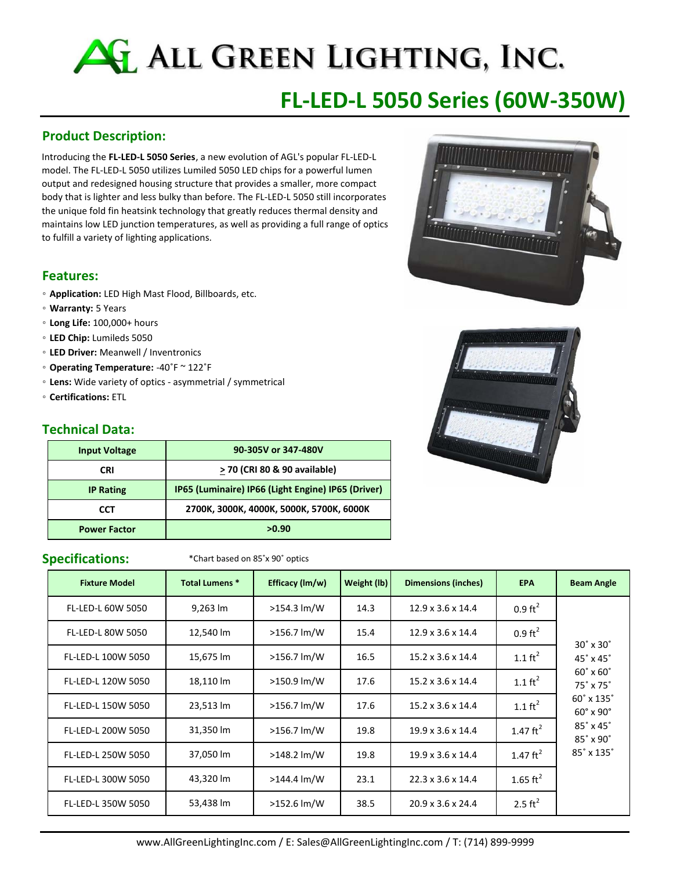# ALL GREEN LIGHTING, INC.

# **FL‐LED‐L 5050 Series (60W‐350W)**

#### **Product Description:**

Introducing the **FL‐LED‐L 5050 Series**, a new evolution of AGL's popular FL‐LED‐L model. The FL‐LED‐L 5050 utilizes Lumiled 5050 LED chips for a powerful lumen output and redesigned housing structure that provides a smaller, more compact body that is lighter and less bulky than before. The FL‐LED‐L 5050 still incorporates the unique fold fin heatsink technology that greatly reduces thermal density and maintains low LED junction temperatures, as well as providing a full range of optics to fulfill a variety of lighting applications.

#### **Features:**

- **Application:** LED High Mast Flood, Billboards, etc.
- **Warranty:** 5 Years
- **Long Life:** 100,000+ hours
- **LED Chip:** Lumileds 5050
- **LED Driver:** Meanwell / Inventronics
- **Operating Temperature:** ‐40˚F ~ 122˚F
- **Lens:** Wide variety of optics ‐ asymmetrial / symmetrical
- **Certifications:** ETL

#### **Technical Data:**

| <b>Input Voltage</b> | 90-305V or 347-480V                                |
|----------------------|----------------------------------------------------|
| <b>CRI</b>           | > 70 (CRI 80 & 90 available)                       |
| <b>IP Rating</b>     | IP65 (Luminaire) IP66 (Light Engine) IP65 (Driver) |
| CCT                  | 2700K, 3000K, 4000K, 5000K, 5700K, 6000K           |
| <b>Power Factor</b>  | >0.90                                              |

Specifications: **\***Chart based on 85°x 90° optics

| <b>Fixture Model</b>     | <b>Total Lumens *</b> | Efficacy (lm/w)         | Weight (lb) | <b>Dimensions (inches)</b>    | <b>EPA</b>         | <b>Beam Angle</b>                                         |
|--------------------------|-----------------------|-------------------------|-------------|-------------------------------|--------------------|-----------------------------------------------------------|
| <b>FL-LED-L 60W 5050</b> | 9,263 lm              | $>154.3 \, \text{Im/W}$ | 14.3        | $12.9 \times 3.6 \times 14.4$ | $0.9 \text{ ft}^2$ |                                                           |
| <b>FL-LED-L 80W 5050</b> | 12,540 lm             | >156.7 lm/W             | 15.4        | $12.9 \times 3.6 \times 14.4$ | $0.9 \text{ ft}^2$ | $30^\circ \times 30^\circ$                                |
| FL-LED-L 100W 5050       | 15,675 lm             | $>156.7$ lm/W           | 16.5        | $15.2 \times 3.6 \times 14.4$ | 1.1 $\text{ft}^2$  | $45^\circ \times 45^\circ$                                |
| FL-LED-L 120W 5050       | 18,110 lm             | >150.9 lm/W             | 17.6        | $15.2 \times 3.6 \times 14.4$ | 1.1 $\text{ft}^2$  | $60^\circ \times 60^\circ$<br>$75^\circ \times 75^\circ$  |
| FL-LED-L 150W 5050       | 23,513 lm             | $>156.7$ lm/W           | 17.6        | $15.2 \times 3.6 \times 14.4$ | 1.1 $\text{ft}^2$  | $60^\circ \times 135^\circ$<br>$60^\circ \times 90^\circ$ |
| FL-LED-L 200W 5050       | 31,350 lm             | $>156.7$ lm/W           | 19.8        | $19.9 \times 3.6 \times 14.4$ | 1.47 $ft^2$        | $85^\circ \times 45^\circ$<br>$85^\circ \times 90^\circ$  |
| FL-LED-L 250W 5050       | 37,050 lm             | $>148.2$ lm/W           | 19.8        | $19.9 \times 3.6 \times 14.4$ | 1.47 $ft^2$        | 85° x 135°                                                |
| FL-LED-L 300W 5050       | 43,320 lm             | $>144.4$ lm/W           | 23.1        | $22.3 \times 3.6 \times 14.4$ | 1.65 $\text{ft}^2$ |                                                           |
| FL-LED-L 350W 5050       | 53,438 lm             | $>152.6$ lm/W           | 38.5        | $20.9 \times 3.6 \times 24.4$ | 2.5 $ft^2$         |                                                           |